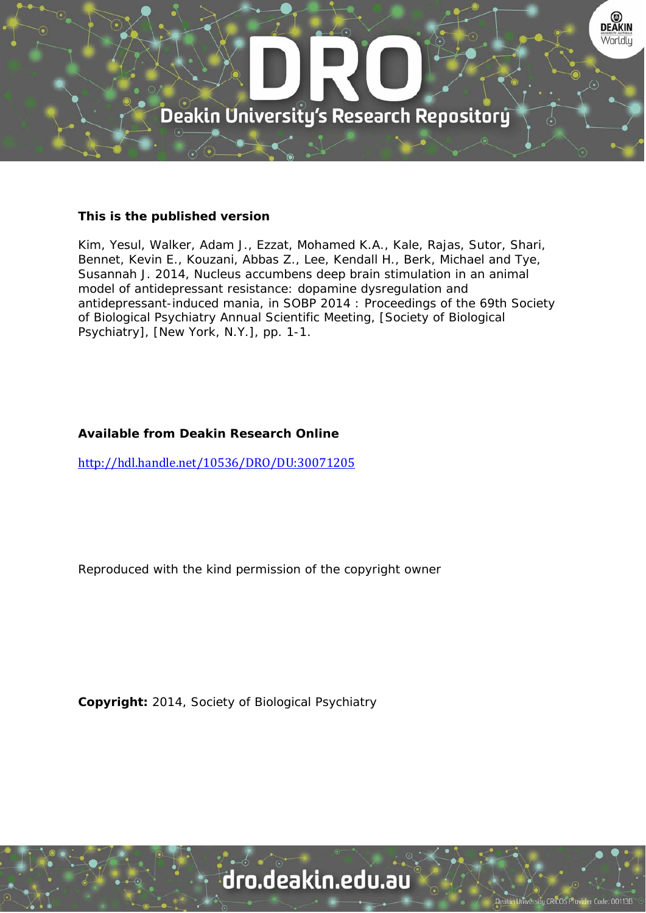

## **This is the published version**

Kim, Yesul, Walker, Adam J., Ezzat, Mohamed K.A., Kale, Rajas, Sutor, Shari, Bennet, Kevin E., Kouzani, Abbas Z., Lee, Kendall H., Berk, Michael and Tye, Susannah J. 2014, Nucleus accumbens deep brain stimulation in an animal model of antidepressant resistance: dopamine dysregulation and antidepressant-induced mania, in SOBP 2014 : Proceedings of the 69th Society of Biological Psychiatry Annual Scientific Meeting, [Society of Biological Psychiatry], [New York, N.Y.], pp. 1-1.

## **Available from Deakin Research Online**

http://hdl.handle.net/10536/DRO/DU:30071205

Reproduced with the kind permission of the copyright owner

**Copyright:** 2014, Society of Biological Psychiatry

## dro.deakin.edu.au

tu CRICOS Pro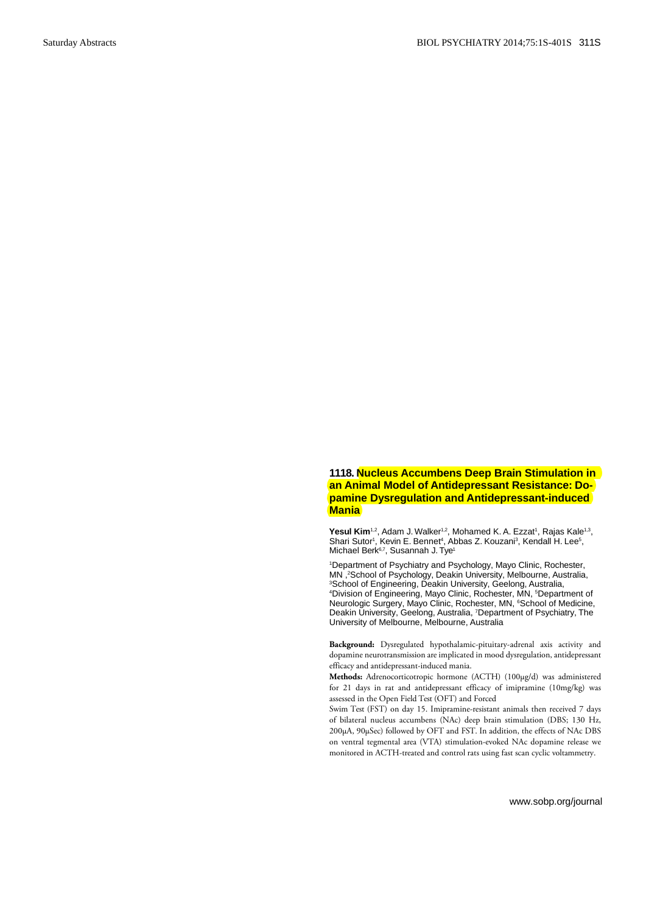## **1118. Nucleus Accumbens Deep Brain Stimulation in an Animal Model of Antidepressant Resistance: Dopamine Dysregulation and Antidepressant-induced Mania**

**Yesul Kim**<sup>1,2</sup>, Adam J. Walker<sup>1,2</sup>, Mohamed K. A. Ezzat<sup>1</sup>, Rajas Kale<sup>1,3</sup>, Shari Sutor<sup>1</sup>, Kevin E. Bennet<sup>4</sup>, Abbas Z. Kouzani<sup>3</sup>, Kendall H. Lee<sup>5</sup>, Michael Berk<sup>6,7</sup>, Susannah J. Tye<sup>1</sup>

1 Department of Psychiatry and Psychology, Mayo Clinic, Rochester, MN , <sup>2</sup>School of Psychology, Deakin University, Melbourne, Australia,<br><sup>3</sup>School of Engineering, Deakin University, Geelong, Australia <sup>3</sup>School of Engineering, Deakin University, Geelong, Australia,<br><sup>4</sup>Division of Engineering, Mayo Clinic, Rochester, MN, <sup>5</sup>Department of Neurologic Surgery, Mayo Clinic, Rochester, MN, <sup>6</sup>School of Medicine, Deakin University, Geelong, Australia, 7 Department of Psychiatry, The University of Melbourne, Melbourne, Australia

**Background:** Dysregulated hypothalamic-pituitary-adrenal axis activity and dopamine neurotransmission are implicated in mood dysregulation, antidepressant efficacy and antidepressant-induced mania.

**Methods:** Adrenocorticotropic hormone (ACTH) (100µg/d) was administered for 21 days in rat and antidepressant efficacy of imipramine (10mg/kg) was assessed in the Open Field Test (OFT) and Forced

Swim Test (FST) on day 15. Imipramine-resistant animals then received 7 days of bilateral nucleus accumbens (NAc) deep brain stimulation (DBS; 130 Hz, 200µA, 90µSec) followed by OFT and FST. In addition, the effects of NAc DBS on ventral tegmental area (VTA) stimulation-evoked NAc dopamine release we monitored in ACTH-treated and control rats using fast scan cyclic voltammetry.

www.sobp.org/journal